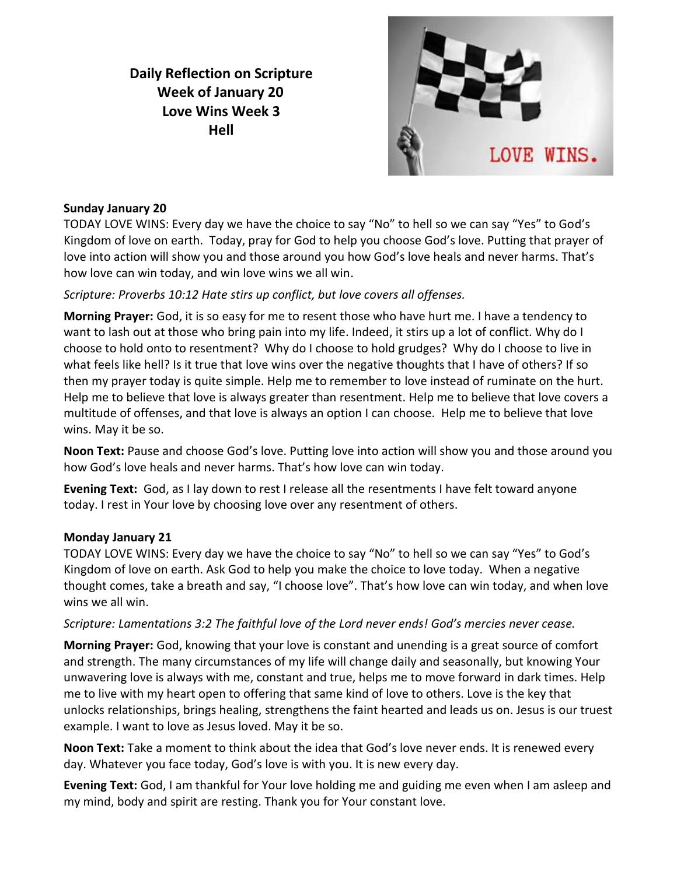# **Daily Reflection on Scripture Week of January 20 Love Wins Week 3 Hell**



# **Sunday January 20**

TODAY LOVE WINS: Every day we have the choice to say "No" to hell so we can say "Yes" to God's Kingdom of love on earth. Today, pray for God to help you choose God's love. Putting that prayer of love into action will show you and those around you how God's love heals and never harms. That's how love can win today, and win love wins we all win.

# *Scripture: Proverbs 10:12 Hate stirs up conflict, but love covers all offenses.*

**Morning Prayer:** God, it is so easy for me to resent those who have hurt me. I have a tendency to want to lash out at those who bring pain into my life. Indeed, it stirs up a lot of conflict. Why do I choose to hold onto to resentment? Why do I choose to hold grudges? Why do I choose to live in what feels like hell? Is it true that love wins over the negative thoughts that I have of others? If so then my prayer today is quite simple. Help me to remember to love instead of ruminate on the hurt. Help me to believe that love is always greater than resentment. Help me to believe that love covers a multitude of offenses, and that love is always an option I can choose. Help me to believe that love wins. May it be so.

**Noon Text:** Pause and choose God's love. Putting love into action will show you and those around you how God's love heals and never harms. That's how love can win today.

**Evening Text:** God, as I lay down to rest I release all the resentments I have felt toward anyone today. I rest in Your love by choosing love over any resentment of others.

# **Monday January 21**

TODAY LOVE WINS: Every day we have the choice to say "No" to hell so we can say "Yes" to God's Kingdom of love on earth. Ask God to help you make the choice to love today. When a negative thought comes, take a breath and say, "I choose love". That's how love can win today, and when love wins we all win.

# *Scripture: Lamentations 3:2 The faithful love of the Lord never ends! God's mercies never cease.*

**Morning Prayer:** God, knowing that your love is constant and unending is a great source of comfort and strength. The many circumstances of my life will change daily and seasonally, but knowing Your unwavering love is always with me, constant and true, helps me to move forward in dark times. Help me to live with my heart open to offering that same kind of love to others. Love is the key that unlocks relationships, brings healing, strengthens the faint hearted and leads us on. Jesus is our truest example. I want to love as Jesus loved. May it be so.

**Noon Text:** Take a moment to think about the idea that God's love never ends. It is renewed every day. Whatever you face today, God's love is with you. It is new every day.

**Evening Text:** God, I am thankful for Your love holding me and guiding me even when I am asleep and my mind, body and spirit are resting. Thank you for Your constant love.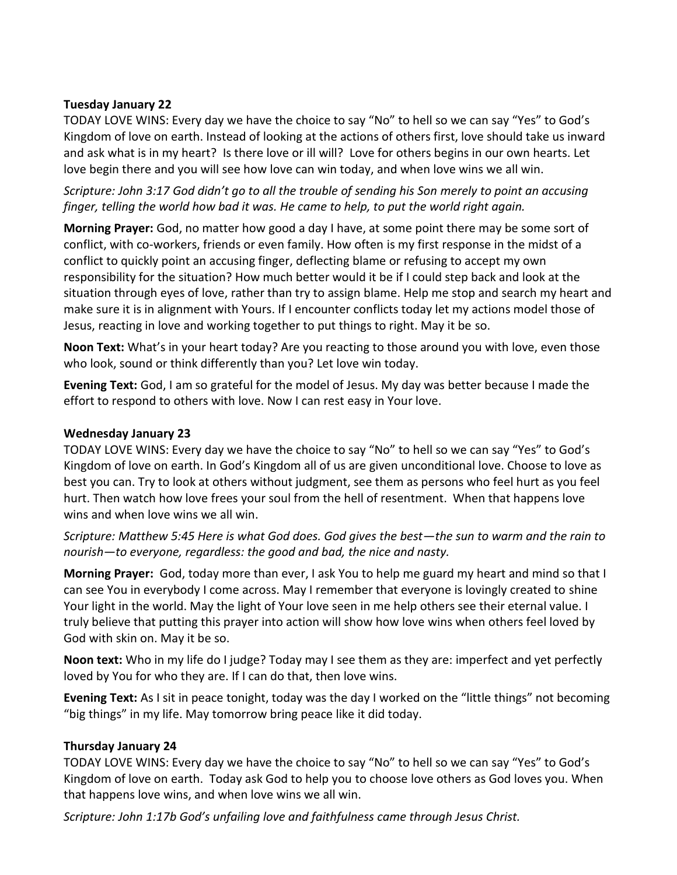#### **Tuesday January 22**

TODAY LOVE WINS: Every day we have the choice to say "No" to hell so we can say "Yes" to God's Kingdom of love on earth. Instead of looking at the actions of others first, love should take us inward and ask what is in my heart? Is there love or ill will? Love for others begins in our own hearts. Let love begin there and you will see how love can win today, and when love wins we all win.

*Scripture: John 3:17 God didn't go to all the trouble of sending his Son merely to point an accusing finger, telling the world how bad it was. He came to help, to put the world right again.*

**Morning Prayer:** God, no matter how good a day I have, at some point there may be some sort of conflict, with co-workers, friends or even family. How often is my first response in the midst of a conflict to quickly point an accusing finger, deflecting blame or refusing to accept my own responsibility for the situation? How much better would it be if I could step back and look at the situation through eyes of love, rather than try to assign blame. Help me stop and search my heart and make sure it is in alignment with Yours. If I encounter conflicts today let my actions model those of Jesus, reacting in love and working together to put things to right. May it be so.

**Noon Text:** What's in your heart today? Are you reacting to those around you with love, even those who look, sound or think differently than you? Let love win today.

**Evening Text:** God, I am so grateful for the model of Jesus. My day was better because I made the effort to respond to others with love. Now I can rest easy in Your love.

#### **Wednesday January 23**

TODAY LOVE WINS: Every day we have the choice to say "No" to hell so we can say "Yes" to God's Kingdom of love on earth. In God's Kingdom all of us are given unconditional love. Choose to love as best you can. Try to look at others without judgment, see them as persons who feel hurt as you feel hurt. Then watch how love frees your soul from the hell of resentment. When that happens love wins and when love wins we all win.

*Scripture: Matthew 5:45 Here is what God does. God gives the best—the sun to warm and the rain to nourish—to everyone, regardless: the good and bad, the nice and nasty.*

**Morning Prayer:** God, today more than ever, I ask You to help me guard my heart and mind so that I can see You in everybody I come across. May I remember that everyone is lovingly created to shine Your light in the world. May the light of Your love seen in me help others see their eternal value. I truly believe that putting this prayer into action will show how love wins when others feel loved by God with skin on. May it be so.

**Noon text:** Who in my life do I judge? Today may I see them as they are: imperfect and yet perfectly loved by You for who they are. If I can do that, then love wins.

**Evening Text:** As I sit in peace tonight, today was the day I worked on the "little things" not becoming "big things" in my life. May tomorrow bring peace like it did today.

# **Thursday January 24**

TODAY LOVE WINS: Every day we have the choice to say "No" to hell so we can say "Yes" to God's Kingdom of love on earth. Today ask God to help you to choose love others as God loves you. When that happens love wins, and when love wins we all win.

*Scripture: John 1:17b God's unfailing love and faithfulness came through Jesus Christ.*